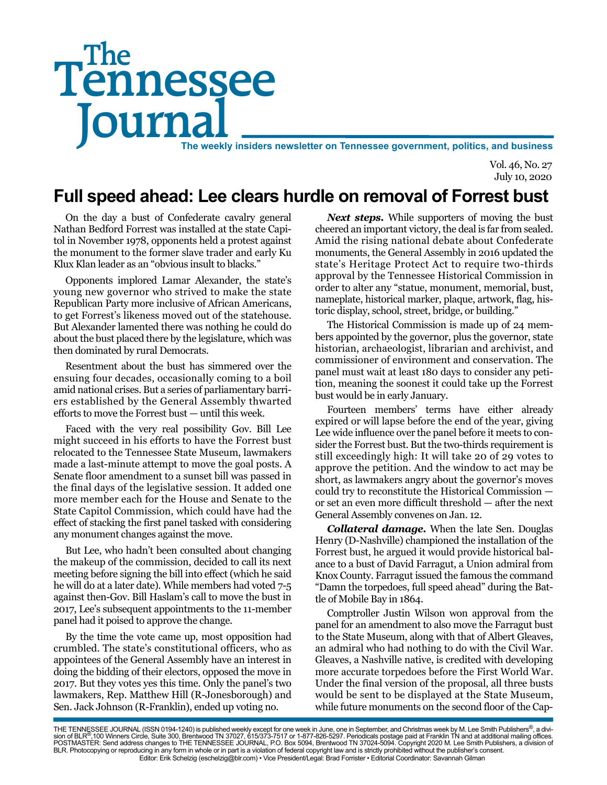# Tennessee **Journal** The weekly insiders newsletter on Tennessee government, politics, and business The

Vol. 46, No. 27 July 10, 2020

## **Full speed ahead: Lee clears hurdle on removal of Forrest bust**

On the day a bust of Confederate cavalry general Nathan Bedford Forrest was installed at the state Capitol in November 1978, opponents held a protest against the monument to the former slave trader and early Ku Klux Klan leader as an "obvious insult to blacks."

Opponents implored Lamar Alexander, the state's young new governor who strived to make the state Republican Party more inclusive of African Americans, to get Forrest's likeness moved out of the statehouse. But Alexander lamented there was nothing he could do about the bust placed there by the legislature, which was then dominated by rural Democrats.

Resentment about the bust has simmered over the ensuing four decades, occasionally coming to a boil amid national crises. But a series of parliamentary barriers established by the General Assembly thwarted efforts to move the Forrest bust — until this week.

Faced with the very real possibility Gov. Bill Lee might succeed in his efforts to have the Forrest bust relocated to the Tennessee State Museum, lawmakers made a last-minute attempt to move the goal posts. A Senate floor amendment to a sunset bill was passed in the final days of the legislative session. It added one more member each for the House and Senate to the State Capitol Commission, which could have had the effect of stacking the first panel tasked with considering any monument changes against the move.

But Lee, who hadn't been consulted about changing the makeup of the commission, decided to call its next meeting before signing the bill into effect (which he said he will do at a later date). While members had voted 7-5 against then-Gov. Bill Haslam's call to move the bust in 2017, Lee's subsequent appointments to the 11-member panel had it poised to approve the change.

By the time the vote came up, most opposition had crumbled. The state's constitutional officers, who as appointees of the General Assembly have an interest in doing the bidding of their electors, opposed the move in 2017. But they votes yes this time. Only the panel's two lawmakers, Rep. Matthew Hill (R-Jonesborough) and Sen. Jack Johnson (R-Franklin), ended up voting no.

*Next steps.* While supporters of moving the bust cheered an important victory, the deal is far from sealed. Amid the rising national debate about Confederate monuments, the General Assembly in 2016 updated the state's Heritage Protect Act to require two-thirds approval by the Tennessee Historical Commission in order to alter any "statue, monument, memorial, bust, nameplate, historical marker, plaque, artwork, flag, historic display, school, street, bridge, or building."

The Historical Commission is made up of 24 members appointed by the governor, plus the governor, state historian, archaeologist, librarian and archivist, and commissioner of environment and conservation. The panel must wait at least 180 days to consider any petition, meaning the soonest it could take up the Forrest bust would be in early January.

Fourteen members' terms have either already expired or will lapse before the end of the year, giving Lee wide influence over the panel before it meets to consider the Forrest bust. But the two-thirds requirement is still exceedingly high: It will take 20 of 29 votes to approve the petition. And the window to act may be short, as lawmakers angry about the governor's moves could try to reconstitute the Historical Commission or set an even more difficult threshold — after the next General Assembly convenes on Jan. 12.

*Collateral damage.* When the late Sen. Douglas Henry (D-Nashville) championed the installation of the Forrest bust, he argued it would provide historical balance to a bust of David Farragut, a Union admiral from Knox County. Farragut issued the famous the command "Damn the torpedoes, full speed ahead" during the Battle of Mobile Bay in 1864.

Comptroller Justin Wilson won approval from the panel for an amendment to also move the Farragut bust to the State Museum, along with that of Albert Gleaves, an admiral who had nothing to do with the Civil War. Gleaves, a Nashville native, is credited with developing more accurate torpedoes before the First World War. Under the final version of the proposal, all three busts would be sent to be displayed at the State Museum, while future monuments on the second floor of the Cap-

THE TENNESSEE JOURNAL (ISSN 0194-1240) is published weekly except for one week in June, one in September, and Christmas week by M. Lee Smith Publishers®, a divi-<br>sion of BLR®,100 Winners Circle, Suite 300, Brentwood TN 370 BLR. Photocopying or reproducing in any form in whole or in part is a violation of federal copyright law and is strictly prohibited without the publisher's consent. Editor: Erik Schelzig (eschelzig@blr.com) • Vice President/Legal: Brad Forrister • Editorial Coordinator: Savannah Gilman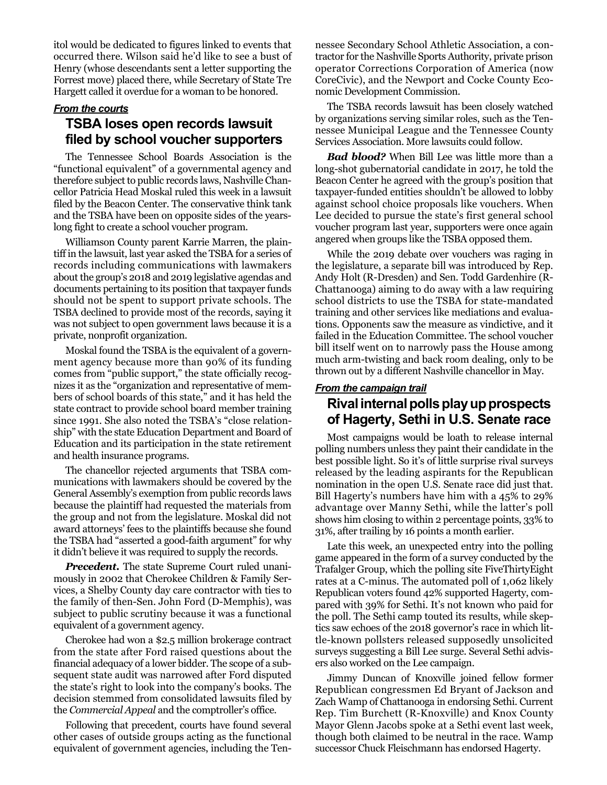itol would be dedicated to figures linked to events that occurred there. Wilson said he'd like to see a bust of Henry (whose descendants sent a letter supporting the Forrest move) placed there, while Secretary of State Tre Hargett called it overdue for a woman to be honored.

#### *From the courts*

#### **TSBA loses open records lawsuit filed by school voucher supporters**

The Tennessee School Boards Association is the "functional equivalent" of a governmental agency and therefore subject to public records laws, Nashville Chancellor Patricia Head Moskal ruled this week in a lawsuit filed by the Beacon Center. The conservative think tank and the TSBA have been on opposite sides of the yearslong fight to create a school voucher program.

Williamson County parent Karrie Marren, the plaintiff in the lawsuit, last year asked the TSBA for a series of records including communications with lawmakers about the group's 2018 and 2019 legislative agendas and documents pertaining to its position that taxpayer funds should not be spent to support private schools. The TSBA declined to provide most of the records, saying it was not subject to open government laws because it is a private, nonprofit organization.

Moskal found the TSBA is the equivalent of a government agency because more than 90% of its funding comes from "public support," the state officially recognizes it as the "organization and representative of members of school boards of this state," and it has held the state contract to provide school board member training since 1991. She also noted the TSBA's "close relationship" with the state Education Department and Board of Education and its participation in the state retirement and health insurance programs.

The chancellor rejected arguments that TSBA communications with lawmakers should be covered by the General Assembly's exemption from public records laws because the plaintiff had requested the materials from the group and not from the legislature. Moskal did not award attorneys' fees to the plaintiffs because she found the TSBA had "asserted a good-faith argument" for why it didn't believe it was required to supply the records.

*Precedent.* The state Supreme Court ruled unanimously in 2002 that Cherokee Children & Family Services, a Shelby County day care contractor with ties to the family of then-Sen. John Ford (D-Memphis), was subject to public scrutiny because it was a functional equivalent of a government agency.

Cherokee had won a \$2.5 million brokerage contract from the state after Ford raised questions about the financial adequacy of a lower bidder. The scope of a subsequent state audit was narrowed after Ford disputed the state's right to look into the company's books. The decision stemmed from consolidated lawsuits filed by the *Commercial Appeal* and the comptroller's office.

Following that precedent, courts have found several other cases of outside groups acting as the functional equivalent of government agencies, including the Tennessee Secondary School Athletic Association, a contractor for the Nashville Sports Authority, private prison operator Corrections Corporation of America (now CoreCivic), and the Newport and Cocke County Economic Development Commission.

The TSBA records lawsuit has been closely watched by organizations serving similar roles, such as the Tennessee Municipal League and the Tennessee County Services Association. More lawsuits could follow.

*Bad blood?* When Bill Lee was little more than a long-shot gubernatorial candidate in 2017, he told the Beacon Center he agreed with the group's position that taxpayer-funded entities shouldn't be allowed to lobby against school choice proposals like vouchers. When Lee decided to pursue the state's first general school voucher program last year, supporters were once again angered when groups like the TSBA opposed them.

While the 2019 debate over vouchers was raging in the legislature, a separate bill was introduced by Rep. Andy Holt (R-Dresden) and Sen. Todd Gardenhire (R-Chattanooga) aiming to do away with a law requiring school districts to use the TSBA for state-mandated training and other services like mediations and evaluations. Opponents saw the measure as vindictive, and it failed in the Education Committee. The school voucher bill itself went on to narrowly pass the House among much arm-twisting and back room dealing, only to be thrown out by a different Nashville chancellor in May.

#### *From the campaign trail*

### **Rival internal polls play up prospects of Hagerty, Sethi in U.S. Senate race**

Most campaigns would be loath to release internal polling numbers unless they paint their candidate in the best possible light. So it's of little surprise rival surveys released by the leading aspirants for the Republican nomination in the open U.S. Senate race did just that. Bill Hagerty's numbers have him with a 45% to 29% advantage over Manny Sethi, while the latter's poll shows him closing to within 2 percentage points, 33% to 31%, after trailing by 16 points a month earlier.

Late this week, an unexpected entry into the polling game appeared in the form of a survey conducted by the Trafalger Group, which the polling site FiveThirtyEight rates at a C-minus. The automated poll of 1,062 likely Republican voters found 42% supported Hagerty, compared with 39% for Sethi. It's not known who paid for the poll. The Sethi camp touted its results, while skeptics saw echoes of the 2018 governor's race in which little-known pollsters released supposedly unsolicited surveys suggesting a Bill Lee surge. Several Sethi advisers also worked on the Lee campaign.

Jimmy Duncan of Knoxville joined fellow former Republican congressmen Ed Bryant of Jackson and Zach Wamp of Chattanooga in endorsing Sethi. Current Rep. Tim Burchett (R-Knoxville) and Knox County Mayor Glenn Jacobs spoke at a Sethi event last week, though both claimed to be neutral in the race. Wamp successor Chuck Fleischmann has endorsed Hagerty.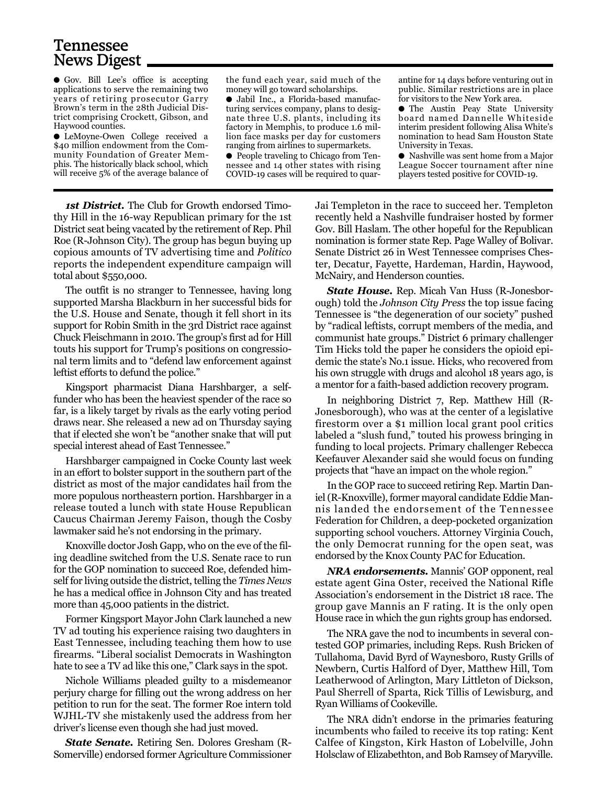## Tennessee News Digest

● Gov. Bill Lee's office is accepting applications to serve the remaining two years of retiring prosecutor Garry Brown's term in the 28th Judicial District comprising Crockett, Gibson, and Haywood counties.

● LeMoyne-Owen College received a \$40 million endowment from the Community Foundation of Greater Memphis. The historically black school, which will receive 5% of the average balance of

the fund each year, said much of the money will go toward scholarships.

● Jabil Inc., a Florida-based manufacturing services company, plans to designate three U.S. plants, including its factory in Memphis, to produce 1.6 million face masks per day for customers ranging from airlines to supermarkets.

● People traveling to Chicago from Tennessee and 14 other states with rising COVID-19 cases will be required to quar-

antine for 14 days before venturing out in public. Similar restrictions are in place for visitors to the New York area.

● The Austin Peay State University board named Dannelle Whiteside interim president following Alisa White's nomination to head Sam Houston State University in Texas.

● Nashville was sent home from a Major League Soccer tournament after nine players tested positive for COVID-19.

*1st District.* The Club for Growth endorsed Timothy Hill in the 16-way Republican primary for the 1st District seat being vacated by the retirement of Rep. Phil Roe (R-Johnson City). The group has begun buying up copious amounts of TV advertising time and *Politico* reports the independent expenditure campaign will total about \$550,000.

The outfit is no stranger to Tennessee, having long supported Marsha Blackburn in her successful bids for the U.S. House and Senate, though it fell short in its support for Robin Smith in the 3rd District race against Chuck Fleischmann in 2010. The group's first ad for Hill touts his support for Trump's positions on congressional term limits and to "defend law enforcement against leftist efforts to defund the police."

Kingsport pharmacist Diana Harshbarger, a selffunder who has been the heaviest spender of the race so far, is a likely target by rivals as the early voting period draws near. She released a new ad on Thursday saying that if elected she won't be "another snake that will put special interest ahead of East Tennessee."

Harshbarger campaigned in Cocke County last week in an effort to bolster support in the southern part of the district as most of the major candidates hail from the more populous northeastern portion. Harshbarger in a release touted a lunch with state House Republican Caucus Chairman Jeremy Faison, though the Cosby lawmaker said he's not endorsing in the primary.

Knoxville doctor Josh Gapp, who on the eve of the filing deadline switched from the U.S. Senate race to run for the GOP nomination to succeed Roe, defended himself for living outside the district, telling the *Times News* he has a medical office in Johnson City and has treated more than 45,000 patients in the district.

Former Kingsport Mayor John Clark launched a new TV ad touting his experience raising two daughters in East Tennessee, including teaching them how to use firearms. "Liberal socialist Democrats in Washington hate to see a TV ad like this one," Clark says in the spot.

Nichole Williams pleaded guilty to a misdemeanor perjury charge for filling out the wrong address on her petition to run for the seat. The former Roe intern told WJHL-TV she mistakenly used the address from her driver's license even though she had just moved.

*State Senate.* Retiring Sen. Dolores Gresham (R-Somerville) endorsed former Agriculture Commissioner Jai Templeton in the race to succeed her. Templeton recently held a Nashville fundraiser hosted by former Gov. Bill Haslam. The other hopeful for the Republican nomination is former state Rep. Page Walley of Bolivar. Senate District 26 in West Tennessee comprises Chester, Decatur, Fayette, Hardeman, Hardin, Haywood, McNairy, and Henderson counties.

*State House.* Rep. Micah Van Huss (R-Jonesborough) told the *Johnson City Press* the top issue facing Tennessee is "the degeneration of our society" pushed by "radical leftists, corrupt members of the media, and communist hate groups." District 6 primary challenger Tim Hicks told the paper he considers the opioid epidemic the state's No.1 issue. Hicks, who recovered from his own struggle with drugs and alcohol 18 years ago, is a mentor for a faith-based addiction recovery program.

In neighboring District 7, Rep. Matthew Hill (R-Jonesborough), who was at the center of a legislative firestorm over a \$1 million local grant pool critics labeled a "slush fund," touted his prowess bringing in funding to local projects. Primary challenger Rebecca Keefauver Alexander said she would focus on funding projects that "have an impact on the whole region."

In the GOP race to succeed retiring Rep. Martin Daniel (R-Knoxville), former mayoral candidate Eddie Mannis landed the endorsement of the Tennessee Federation for Children, a deep-pocketed organization supporting school vouchers. Attorney Virginia Couch, the only Democrat running for the open seat, was endorsed by the Knox County PAC for Education.

*NRA endorsements.* Mannis' GOP opponent, real estate agent Gina Oster, received the National Rifle Association's endorsement in the District 18 race. The group gave Mannis an F rating. It is the only open House race in which the gun rights group has endorsed.

The NRA gave the nod to incumbents in several contested GOP primaries, including Reps. Rush Bricken of Tullahoma, David Byrd of Waynesboro, Rusty Grills of Newbern, Curtis Halford of Dyer, Matthew Hill, Tom Leatherwood of Arlington, Mary Littleton of Dickson, Paul Sherrell of Sparta, Rick Tillis of Lewisburg, and Ryan Williams of Cookeville.

The NRA didn't endorse in the primaries featuring incumbents who failed to receive its top rating: Kent Calfee of Kingston, Kirk Haston of Lobelville, John Holsclaw of Elizabethton, and Bob Ramsey of Maryville.